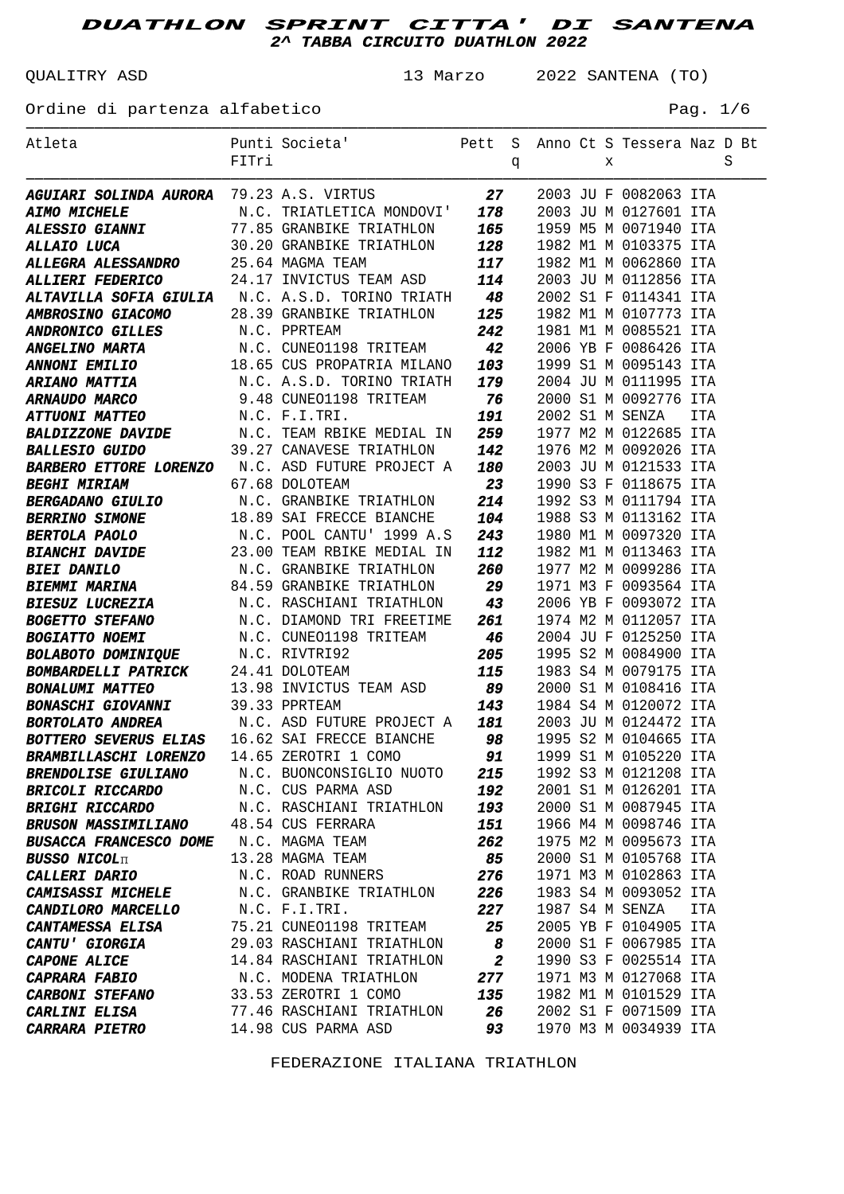QUALITRY ASD 13 Marzo 2022 SANTENA (TO)

Ordine di partenza alfabetico Pag. 1/6

| Atleta                                                                       |       | Punti Societa' Pett S Anno Ct S Tessera Naz D Bt                |                  |   |  |   |                                                |            |   |
|------------------------------------------------------------------------------|-------|-----------------------------------------------------------------|------------------|---|--|---|------------------------------------------------|------------|---|
|                                                                              | FITri |                                                                 |                  | q |  | X |                                                |            | S |
|                                                                              |       |                                                                 |                  |   |  |   |                                                |            |   |
| AGUIARI SOLINDA AURORA 79.23 A.S. VIRTUS                                     |       |                                                                 | 27               |   |  |   | 2003 JU F 0082063 ITA                          |            |   |
| <b>AIMO MICHELE</b>                                                          |       |                                                                 |                  |   |  |   | 2003 JU M 0127601 ITA                          |            |   |
| <b>ALESSIO GIANNI</b>                                                        |       | N.C. TRIATLETICA MONDOVI' 178<br>T 37.85 GRANBIKE TRIATHLON 165 |                  |   |  |   | 1959 M5 M 0071940 ITA                          |            |   |
| <b>ALLAIO LUCA</b>                                                           |       | 30.20 GRANBIKE TRIATHLON                                        | 128              |   |  |   | 1982 M1 M 0103375 ITA                          |            |   |
| ALLEGRA ALESSANDRO                                                           |       | 25.64 MAGMA TEAM                                                | 117              |   |  |   | 1982 M1 M 0062860 ITA                          |            |   |
| <b>ALLIERI FEDERICO</b>                                                      |       | 24.17 INVICTUS TEAM ASD                                         | 114              |   |  |   | 2003 JU M 0112856 ITA                          |            |   |
| ALTAVILLA SOFIA GIULIA N.C. A.S.D. TORINO TRIATH 48                          |       |                                                                 |                  |   |  |   | 2002 S1 F 0114341 ITA                          |            |   |
| AMBROSINO GIACOMO                                                            |       | 28.39 GRANBIKE TRIATHLON                                        | 125              |   |  |   | 1982 M1 M 0107773 ITA                          |            |   |
| <b>ANDRONICO GILLES</b>                                                      |       | N.C. PPRTEAM                                                    | 242              |   |  |   | 1981 M1 M 0085521 ITA                          |            |   |
| ANGELINO MARTA                                                               |       | N.C. CUNEO1198 TRITEAM 12<br>18.65 CUS PROPATRIA MILANO 103     |                  |   |  |   | 2006 YB F 0086426 ITA                          |            |   |
| <b>ANNONI EMILIO</b>                                                         |       |                                                                 |                  |   |  |   | 1999 S1 M 0095143 ITA                          |            |   |
| ARIANO MATTIA                                                                |       | N.C. A.S.D. TORINO TRIATH                                       | 179              |   |  |   | 2004 JU M 0111995 ITA                          |            |   |
| ARNAUDO MARCO                                                                |       | 9.48 CUNEO1198 TRITEAM                                          | 76               |   |  |   | 2000 S1 M 0092776 ITA                          |            |   |
| <b>ATTUONI MATTEO</b>                                                        |       | N.C. F.I.TRI.                                                   | 191              |   |  |   | 2002 S1 M SENZA                                | <b>ITA</b> |   |
| <b>BALDIZZONE DAVIDE</b>                                                     |       | N.C. TEAM RBIKE MEDIAL IN                                       | 259              |   |  |   | 1977 M2 M 0122685 ITA                          |            |   |
| <b>BALLESIO GUIDO</b>                                                        |       | 39.27 CANAVESE TRIATHLON                                        | 142              |   |  |   | 1976 M2 M 0092026 ITA                          |            |   |
| BARBERO ETTORE LORENZO N.C. ASD FUTURE PROJECT A                             |       |                                                                 | 180              |   |  |   | 2003 JU M 0121533 ITA                          |            |   |
| <b>BEGHI MIRIAM</b>                                                          |       | 67.68 DOLOTEAM                                                  | 23               |   |  |   | 1990 S3 F 0118675 ITA                          |            |   |
| <b>BERGADANO GIULIO</b>                                                      |       | N.C. GRANBIKE TRIATHLON                                         | 214              |   |  |   | 1992 S3 M 0111794 ITA                          |            |   |
| <b>BERRINO SIMONE</b>                                                        |       | 18.89 SAI FRECCE BIANCHE                                        | 104              |   |  |   | 1988 S3 M 0113162 ITA                          |            |   |
| <b>BERTOLA PAOLO</b>                                                         |       | N.C. POOL CANTU' 1999 A.S<br>23.00 TEAM RBIKE MEDIAL IN         | 243              |   |  |   | 1980 M1 M 0097320 ITA                          |            |   |
| <b>BIANCHI DAVIDE</b>                                                        |       |                                                                 | 112              |   |  |   | 1982 M1 M 0113463 ITA                          |            |   |
| <b>BIEI DANILO</b>                                                           |       | N.C. GRANBIKE TRIATHLON<br>84.59 GRANBIKE TRIATHLON             | 260              |   |  |   | 1977 M2 M 0099286 ITA                          |            |   |
| BIEMMI MARINA                                                                |       |                                                                 | 29               |   |  |   | 1971 M3 F 0093564 ITA                          |            |   |
| BIESUZ LUCREZIA M.C. RASCHIANI TRIATHLON 43                                  |       |                                                                 |                  |   |  |   | 2006 YB F 0093072 ITA                          |            |   |
| <b>BOGETTO STEFANO</b> N.C. DIAMOND TRI FREETIME 261                         |       |                                                                 |                  |   |  |   | 1974 M2 M 0112057 ITA                          |            |   |
| <b>BOGIATTO NOEMI</b>                                                        |       | N.C. CUNEO1198 TRITEAM                                          | 46               |   |  |   | 2004 JU F 0125250 ITA                          |            |   |
| BOLABOTO DOMINIQUE N.C. RIVTRI92                                             |       |                                                                 | 205              |   |  |   | 1995 S2 M 0084900 ITA                          |            |   |
| <b>BOMBARDELLI PATRICK</b>                                                   |       | 24.41 DOLOTEAM                                                  | 115              |   |  |   | 1983 S4 M 0079175 ITA                          |            |   |
| <b>BONALUMI MATTEO</b>                                                       |       | 13.98 INVICTUS TEAM ASD 89                                      |                  |   |  |   | 2000 S1 M 0108416 ITA                          |            |   |
| <b>BONASCHI GIOVANNI</b>                                                     |       | 39.33 PPRTEAM                                                   | 143              |   |  |   | 1984 S4 M 0120072 ITA<br>2003 JU M 0124472 ITA |            |   |
| <b>BORTOLATO ANDREA</b><br>BOTTERO SEVERUS ELIAS 16.62 SAI FRECCE BIANCHE 98 |       | N.C. ASD FUTURE PROJECT A                                       | 181              |   |  |   | 1995 S2 M 0104665 ITA                          |            |   |
| <b>BRAMBILLASCHI LORENZO</b> 14.65 ZEROTRI 1 COMO 51                         |       |                                                                 |                  |   |  |   | 1999 S1 M 0105220 ITA                          |            |   |
| <b>BRENDOLISE GIULIANO</b>                                                   |       | N.C. BUONCONSIGLIO NUOTO                                        | 215              |   |  |   | 1992 S3 M 0121208 ITA                          |            |   |
| <b>BRICOLI RICCARDO</b>                                                      |       | N.C. CUS PARMA ASD                                              | 192              |   |  |   | 2001 S1 M 0126201 ITA                          |            |   |
| <b>BRIGHI RICCARDO</b>                                                       |       | N.C. RASCHIANI TRIATHLON                                        | 193              |   |  |   | 2000 S1 M 0087945 ITA                          |            |   |
| <b>BRUSON MASSIMILIANO</b>                                                   |       | 48.54 CUS FERRARA                                               | 151              |   |  |   | 1966 M4 M 0098746 ITA                          |            |   |
| BUSACCA FRANCESCO DOME N.C. MAGMA TEAM                                       |       |                                                                 | 262              |   |  |   | 1975 M2 M 0095673 ITA                          |            |   |
| <b>BUSSO NICOL</b> II                                                        |       | 13.28 MAGMA TEAM                                                | 85               |   |  |   | 2000 S1 M 0105768 ITA                          |            |   |
| <b>CALLERI DARIO</b>                                                         |       | N.C. ROAD RUNNERS                                               | 276              |   |  |   | 1971 M3 M 0102863 ITA                          |            |   |
| <b>CAMISASSI MICHELE</b>                                                     |       | N.C. GRANBIKE TRIATHLON                                         | 226              |   |  |   | 1983 S4 M 0093052 ITA                          |            |   |
| <b>CANDILORO MARCELLO</b>                                                    |       | N.C. F.I.TRI.                                                   | 227              |   |  |   | 1987 S4 M SENZA                                | ITA        |   |
| <b>CANTAMESSA ELISA</b>                                                      |       | 75.21 CUNEO1198 TRITEAM                                         | 25               |   |  |   | 2005 YB F 0104905 ITA                          |            |   |
| <b>CANTU' GIORGIA</b>                                                        |       | 29.03 RASCHIANI TRIATHLON                                       | 8                |   |  |   | 2000 S1 F 0067985 ITA                          |            |   |
| <b>CAPONE ALICE</b>                                                          |       | 14.84 RASCHIANI TRIATHLON                                       | $\boldsymbol{2}$ |   |  |   | 1990 S3 F 0025514 ITA                          |            |   |
| <b>CAPRARA FABIO</b>                                                         |       | N.C. MODENA TRIATHLON                                           | 277              |   |  |   | 1971 M3 M 0127068 ITA                          |            |   |
| <b>CARBONI STEFANO</b>                                                       |       | 33.53 ZEROTRI 1 COMO                                            | 135              |   |  |   | 1982 M1 M 0101529 ITA                          |            |   |
| <i><b>CARLINI ELISA</b></i>                                                  |       | 77.46 RASCHIANI TRIATHLON                                       | 26               |   |  |   | 2002 S1 F 0071509 ITA                          |            |   |
| <b>CARRARA PIETRO</b>                                                        |       | 14.98 CUS PARMA ASD                                             | 93               |   |  |   | 1970 M3 M 0034939 ITA                          |            |   |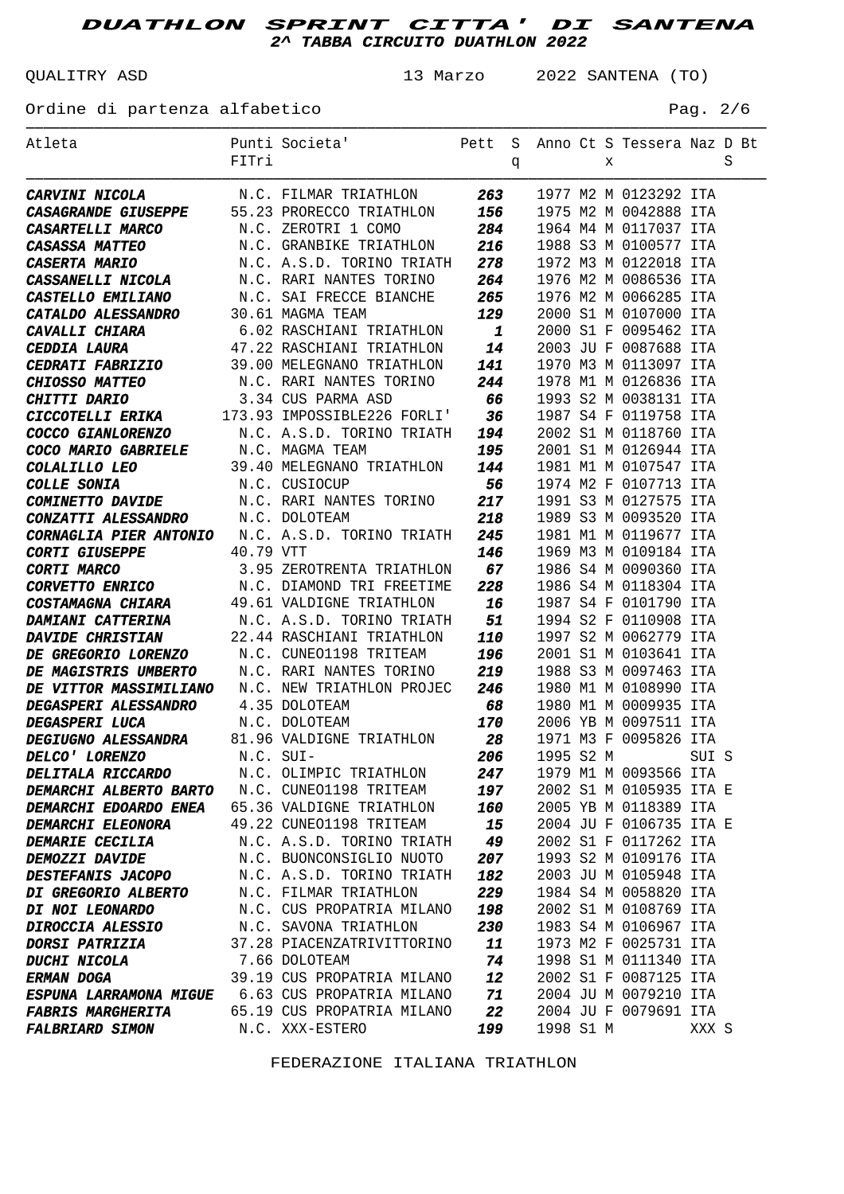QUALITRY ASD 13 Marzo 2022 SANTENA (TO)

Ordine di partenza alfabetico e e e e e e e e e e e e e e Pag. 2/6

| Atleta                                                  |           | Punti Societa' Pett S Anno Ct S Tessera Naz D Bt           |          |   |           |   |                                                |       |   |
|---------------------------------------------------------|-----------|------------------------------------------------------------|----------|---|-----------|---|------------------------------------------------|-------|---|
|                                                         | FITri     |                                                            |          | q |           | X |                                                |       | S |
| <b>CARVINI NICOLA</b> N.C. FILMAR TRIATHLON 263         |           |                                                            |          |   |           |   | 1977 M2 M 0123292 ITA                          |       |   |
| CASAGRANDE GIUSEPPE 55.23 PRORECCO TRIATHLON            |           |                                                            | 156 —    |   |           |   | 1975 M2 M 0042888 ITA                          |       |   |
| <b>CASARTELLI MARCO</b>                                 |           | N.C. ZEROTRI 1 COMO                                        | 284      |   |           |   | 1964 M4 M 0117037 ITA                          |       |   |
| <b>CASASSA MATTEO</b>                                   |           | N.C. GRANBIKE TRIATHLON                                    | 216      |   |           |   | 1988 S3 M 0100577 ITA                          |       |   |
| <b>CASERTA MARIO</b>                                    |           | N.C. A.S.D. TORINO TRIATH                                  | 278      |   |           |   | 1972 M3 M 0122018 ITA                          |       |   |
| <b>CASSANELLI NICOLA</b>                                |           | N.C. RARI NANTES TORINO                                    | 264      |   |           |   | 1976 M2 M 0086536 ITA                          |       |   |
| <b>CASTELLO EMILIANO</b>                                |           | N.C. SAI FRECCE BIANCHE 265                                |          |   |           |   | 1976 M2 M 0066285 ITA                          |       |   |
| <b>CATALDO ALESSANDRO</b>                               |           | 30.61 MAGMA TEAM                                           | 129      |   |           |   | 2000 S1 M 0107000 ITA                          |       |   |
| <i>CAVALLI CHIARA</i>                                   |           |                                                            |          |   |           |   | 2000 S1 F 0095462 ITA                          |       |   |
| <b>CEDDIA LAURA</b>                                     |           | 6.02 RASCHIANI TRIATHLON 1<br>47.22 RASCHIANI TRIATHLON 14 |          |   |           |   | 2003 JU F 0087688 ITA                          |       |   |
| <b>CEDRATI FABRIZIO</b>                                 |           | 39.00 MELEGNANO TRIATHLON                                  | 141      |   |           |   | 1970 M3 M 0113097 ITA                          |       |   |
| <b>CHIOSSO MATTEO</b>                                   |           | N.C. RARI NANTES TORINO                                    | 244      |   |           |   | 1978 M1 M 0126836 ITA                          |       |   |
| <b>CHITTI DARIO</b>                                     |           | 3.34 CUS PARMA ASD                                         | 66       |   |           |   | 1993 S2 M 0038131 ITA                          |       |   |
| CICCOTELLI ERIKA 173.93 IMPOSSIBLE226 FORLI' 36         |           |                                                            |          |   |           |   | 1987 S4 F 0119758 ITA                          |       |   |
| <b>COCCO GIANLORENZO</b>                                |           | N.C. A.S.D. TORINO TRIATH 194                              |          |   |           |   | 2002 S1 M 0118760 ITA                          |       |   |
| <b>COCO MARIO GABRIELE</b>                              |           | N.C. MAGMA TEAM                                            | 195      |   |           |   | 2001 S1 M 0126944 ITA                          |       |   |
| COLALILLO LEO                                           |           | 39.40 MELEGNANO TRIATHLON                                  | 144      |   |           |   | 1981 M1 M 0107547 ITA                          |       |   |
| <b>COLLE SONIA</b>                                      |           | N.C. CUSIOCUP                                              | 56       |   |           |   | 1974 M2 F 0107713 ITA                          |       |   |
| <b>COMINETTO DAVIDE</b>                                 |           | N.C. RARI NANTES TORINO                                    | 217      |   |           |   | 1991 S3 M 0127575 ITA                          |       |   |
| <b>CONZATTI ALESSANDRO N.C. DOLOTEAM</b>                |           |                                                            | 218      |   |           |   | 1989 S3 M 0093520 ITA                          |       |   |
| CORNAGLIA PIER ANTONIO N.C. A.S.D. TORINO TRIATH        |           |                                                            | 245      |   |           |   | 1981 M1 M 0119677 ITA                          |       |   |
| <b>CORTI GIUSEPPE</b>                                   | 40.79 VTT |                                                            | 146      |   |           |   | 1969 M3 M 0109184 ITA                          |       |   |
| CORTI MARCO                                             |           | 3.95 ZEROTRENTA TRIATHLON 67                               |          |   |           |   | 1986 S4 M 0090360 ITA                          |       |   |
| <b>CORVETTO ENRICO</b>                                  |           | N.C. DIAMOND TRI FREETIME                                  | 228      |   |           |   | 1986 S4 M 0118304 ITA                          |       |   |
| <b>COSTAMAGNA CHIARA</b>                                |           | 49.61 VALDIGNE TRIATHLON 16                                |          |   |           |   | 1987 S4 F 0101790 ITA                          |       |   |
| <b>DAMIANI CATTERINA</b>                                |           | N.C. A.S.D. TORINO TRIATH 51                               |          |   |           |   | 1994 S2 F 0110908 ITA                          |       |   |
| <b>DAVIDE CHRISTIAN</b>                                 |           | 22.44 RASCHIANI TRIATHLON                                  | 110      |   |           |   | 1997 S2 M 0062779 ITA                          |       |   |
| DE GREGORIO LORENZO N.C. CUNEO1198 TRITEAM              |           |                                                            | 196      |   |           |   | 2001 S1 M 0103641 ITA                          |       |   |
| DE MAGISTRIS UMBERTO N.C. RARI NANTES TORINO            |           |                                                            | 219      |   |           |   | 1988 S3 M 0097463 ITA                          |       |   |
| <b>DE VITTOR MASSIMILIANO</b>                           |           | N.C. NEW TRIATHLON PROJEC                                  | 246      |   |           |   | 1980 M1 M 0108990 ITA                          |       |   |
| DEGASPERI ALESSANDRO 4.35 DOLOTEAM                      |           |                                                            | 68       |   |           |   | 1980 M1 M 0009935 ITA                          |       |   |
| <b>DEGASPERI LUCA</b>                                   |           | N.C. DOLOTEAM                                              | 170      |   |           |   | 2006 YB M 0097511 ITA                          |       |   |
| DEGIUGNO ALESSANDRA 81.96 VALDIGNE TRIATHLON 28         |           |                                                            |          |   |           |   | 1971 M3 F 0095826 ITA                          |       |   |
| <b>DELCO' LORENZO</b>                                   |           | N.C. SUI-                                                  | 206      |   |           |   | 1995 S2 M SUI S                                |       |   |
| <b>DELITALA RICCARDO</b>                                |           | N.C. OLIMPIC TRIATHLON                                     | 247      |   |           |   | 1979 M1 M 0093566 ITA                          |       |   |
| DEMARCHI ALBERTO BARTO N.C. CUNEO1198 TRITEAM           |           |                                                            | 197      |   |           |   | 2002 S1 M 0105935 ITA E                        |       |   |
| <b>DEMARCHI EDOARDO ENEA</b>                            |           | 65.36 VALDIGNE TRIATHLON                                   | 160      |   |           |   | 2005 YB M 0118389 ITA                          |       |   |
| <b>DEMARCHI ELEONORA</b>                                |           | 49.22 CUNEO1198 TRITEAM                                    | 15       |   |           |   | 2004 JU F 0106735 ITA E                        |       |   |
| <b>DEMARIE CECILIA</b>                                  |           | N.C. A.S.D. TORINO TRIATH                                  | 49       |   |           |   | 2002 S1 F 0117262 ITA                          |       |   |
| <b>DEMOZZI DAVIDE</b>                                   |           | N.C. BUONCONSIGLIO NUOTO                                   | 207      |   |           |   | 1993 S2 M 0109176 ITA                          |       |   |
| <b>DESTEFANIS JACOPO</b>                                |           | N.C. A.S.D. TORINO TRIATH                                  | 182      |   |           |   | 2003 JU M 0105948 ITA                          |       |   |
| <b>DI GREGORIO ALBERTO</b>                              |           | N.C. FILMAR TRIATHLON                                      | 229      |   |           |   | 1984 S4 M 0058820 ITA                          |       |   |
| <b>DI NOI LEONARDO</b><br><b>DIROCCIA ALESSIO</b>       |           | N.C. CUS PROPATRIA MILANO<br>N.C. SAVONA TRIATHLON         | 198      |   |           |   | 2002 S1 M 0108769 ITA<br>1983 S4 M 0106967 ITA |       |   |
|                                                         |           |                                                            | 230      |   |           |   |                                                |       |   |
| <b>DORSI PATRIZIA</b><br><b>DUCHI NICOLA</b>            |           | 37.28 PIACENZATRIVITTORINO<br>7.66 DOLOTEAM                | 11<br>74 |   |           |   | 1973 M2 F 0025731 ITA<br>1998 S1 M 0111340 ITA |       |   |
| <b>ERMAN DOGA</b>                                       |           | 39.19 CUS PROPATRIA MILANO                                 | 12       |   |           |   | 2002 S1 F 0087125 ITA                          |       |   |
| <b>ESPUNA LARRAMONA MIGUE</b> 6.63 CUS PROPATRIA MILANO |           |                                                            | 71       |   |           |   | 2004 JU M 0079210 ITA                          |       |   |
| <b>FABRIS MARGHERITA</b>                                |           | 65.19 CUS PROPATRIA MILANO                                 | 22       |   |           |   | 2004 JU F 0079691 ITA                          |       |   |
| <b>FALBRIARD SIMON</b>                                  |           | N.C. XXX-ESTERO                                            | 199      |   | 1998 S1 M |   |                                                | XXX S |   |
|                                                         |           |                                                            |          |   |           |   |                                                |       |   |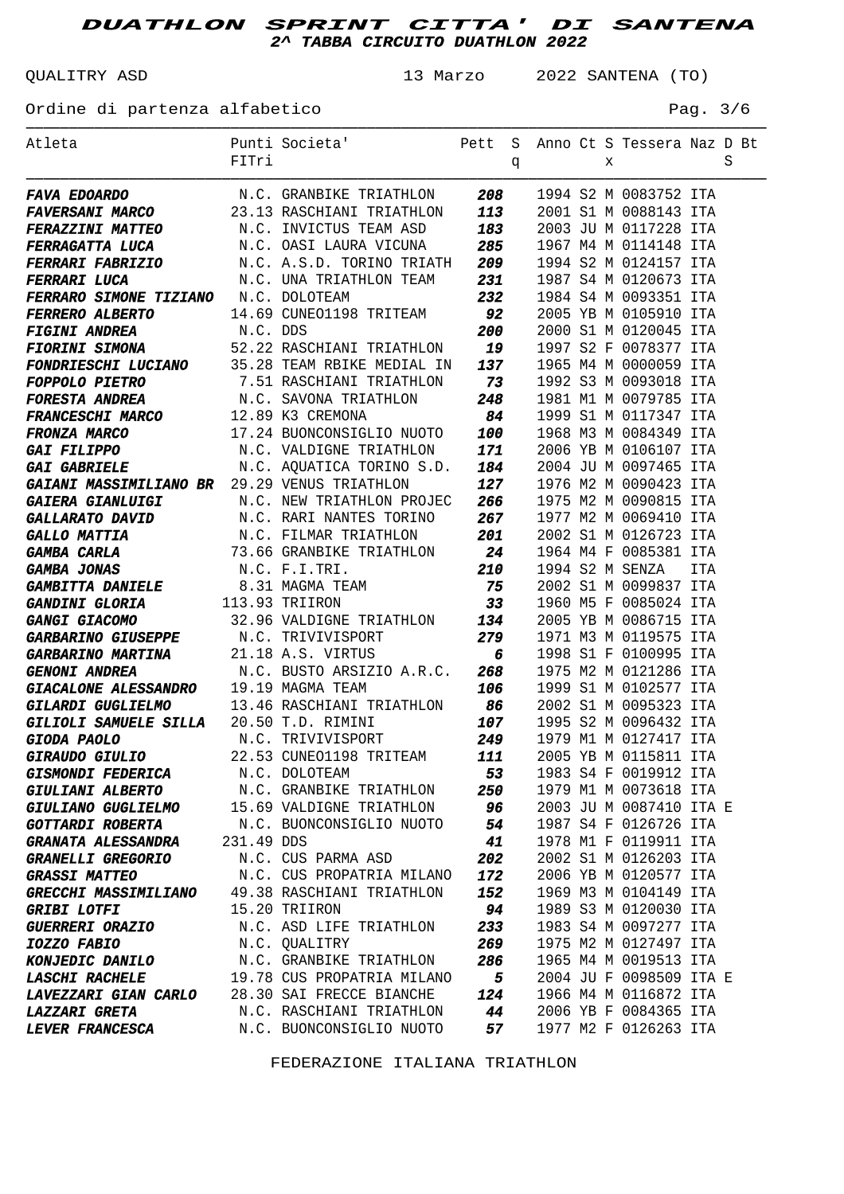QUALITRY ASD 13 Marzo 2022 SANTENA (TO)

Ordine di partenza alfabetico Pag. 3/6

| Atleta                                                                                                                                                                       |            | Punti Societa' Nett S Anno Ct S Tessera Naz D Bt |                |   |  |   |                         |            |   |
|------------------------------------------------------------------------------------------------------------------------------------------------------------------------------|------------|--------------------------------------------------|----------------|---|--|---|-------------------------|------------|---|
|                                                                                                                                                                              | FITri      |                                                  |                | q |  | X |                         |            | S |
|                                                                                                                                                                              |            |                                                  |                |   |  |   |                         |            |   |
| FAVA EDOARDO                                                                                                                                                                 |            | N.C. GRANBIKE TRIATHLON                          | 208            |   |  |   | 1994 S2 M 0083752 ITA   |            |   |
| <b>FAVERSANI MARCO</b>                                                                                                                                                       |            | 23.13 RASCHIANI TRIATHLON                        | 113            |   |  |   | 2001 S1 M 0088143 ITA   |            |   |
| <b>FERAZZINI MATTEO</b>                                                                                                                                                      |            | N.C. INVICTUS TEAM ASD                           | 183            |   |  |   | 2003 JU M 0117228 ITA   |            |   |
| <b>FERRAGATTA LUCA</b>                                                                                                                                                       |            | N.C. OASI LAURA VICUNA                           | 285            |   |  |   | 1967 M4 M 0114148 ITA   |            |   |
| FERRARI FABRIZIO N.C. A.S.D. TORINO TRIATH                                                                                                                                   |            |                                                  | 209            |   |  |   | 1994 S2 M 0124157 ITA   |            |   |
| <b>FERRARI LUCA</b>                                                                                                                                                          |            | N.C. UNA TRIATHLON TEAM                          | 231            |   |  |   | 1987 S4 M 0120673 ITA   |            |   |
| FERRARO SIMONE TIZIANO N.C. DOLOTEAM                                                                                                                                         |            |                                                  | 232            |   |  |   | 1984 S4 M 0093351 ITA   |            |   |
| <b>FERRERO ALBERTO</b>                                                                                                                                                       |            | 14.69 CUNEO1198 TRITEAM                          | 92             |   |  |   | 2005 YB M 0105910 ITA   |            |   |
| <b>FIGINI ANDREA</b>                                                                                                                                                         | N.C. DDS   |                                                  | 200            |   |  |   | 2000 S1 M 0120045 ITA   |            |   |
| <b>FIORINI SIMONA</b>                                                                                                                                                        |            | 52.22 RASCHIANI TRIATHLON 19                     |                |   |  |   | 1997 S2 F 0078377 ITA   |            |   |
| FONDRIESCHI LUCIANO 35.28 TEAM RBIKE MEDIAL IN                                                                                                                               |            |                                                  | 137            |   |  |   | 1965 M4 M 0000059 ITA   |            |   |
| <b>FOPPOLO PIETRO</b>                                                                                                                                                        |            | 7.51 RASCHIANI TRIATHLON 73                      |                |   |  |   | 1992 S3 M 0093018 ITA   |            |   |
| <b>FORESTA ANDREA</b>                                                                                                                                                        |            | N.C. SAVONA TRIATHLON                            | 248            |   |  |   | 1981 M1 M 0079785 ITA   |            |   |
| <b>FRANCESCHI MARCO</b>                                                                                                                                                      |            | 12.89 K3 CREMONA                                 | 84             |   |  |   | 1999 S1 M 0117347 ITA   |            |   |
| <b>FRONZA MARCO</b>                                                                                                                                                          |            | 17.24 BUONCONSIGLIO NUOTO                        | 100            |   |  |   | 1968 M3 M 0084349 ITA   |            |   |
| <i><b>GAI FILIPPO</b></i>                                                                                                                                                    |            | N.C. VALDIGNE TRIATHLON                          | 171            |   |  |   | 2006 YB M 0106107 ITA   |            |   |
| <b>GAI FILIPPO<br/>GAI GABRIELE</b>                                                                                                                                          |            | N.C. AQUATICA TORINO S.D.                        |                |   |  |   | 2004 JU M 0097465 ITA   |            |   |
| <b>GAIANI MASSIMILIANO BR</b> 29.29 VENUS TRIATHLON                                                                                                                          |            |                                                  | 184<br>127     |   |  |   | 1976 M2 M 0090423 ITA   |            |   |
| <b>GAIERA GIANLUIGI</b>                                                                                                                                                      |            | N.C. NEW TRIATHLON PROJEC                        | 266            |   |  |   | 1975 M2 M 0090815 ITA   |            |   |
| GALLARATO DAVID M.C. RARI NANTES TORINO                                                                                                                                      |            |                                                  | 267            |   |  |   | 1977 M2 M 0069410 ITA   |            |   |
| <b>GALLO MATTIA</b>                                                                                                                                                          |            | N.C. FILMAR TRIATHLON                            | 201            |   |  |   | 2002 S1 M 0126723 ITA   |            |   |
| GAMBA CARLA                                                                                                                                                                  |            |                                                  |                |   |  |   | 1964 M4 F 0085381 ITA   |            |   |
| <b>GAMBA JONAS</b>                                                                                                                                                           |            | 73.66 GRANBIKE TRIATHLON 24<br>N.C. F.I.TRI. 210 |                |   |  |   | 1994 S2 M SENZA         | <b>ITA</b> |   |
| <b>GAMBITTA DANIELE</b>                                                                                                                                                      |            | 8.31 MAGMA TEAM                                  | 75             |   |  |   | 2002 S1 M 0099837 ITA   |            |   |
| <b>GANDINI GLORIA</b>                                                                                                                                                        |            | 113.93 TRIIRON                                   | 33             |   |  |   | 1960 M5 F 0085024 ITA   |            |   |
| <b>GANGI GIACOMO</b>                                                                                                                                                         |            | 32.96 VALDIGNE TRIATHLON 134                     |                |   |  |   | 2005 YB M 0086715 ITA   |            |   |
| <b>GARBARINO GIUSEPPE</b>                                                                                                                                                    |            | N.C. TRIVIVISPORT                                | 279            |   |  |   | 1971 M3 M 0119575 ITA   |            |   |
| <b>GARBARINO MARTINA</b>                                                                                                                                                     |            | 21.18 A.S. VIRTUS                                | $\overline{6}$ |   |  |   | 1998 S1 F 0100995 ITA   |            |   |
| <b>GENONI ANDREA</b>                                                                                                                                                         |            | N.C. BUSTO ARSIZIO A.R.C. 268                    |                |   |  |   | 1975 M2 M 0121286 ITA   |            |   |
| <b>GIACALONE ALESSANDRO 19.19 MAGMA TEAM</b>                                                                                                                                 |            |                                                  | 106            |   |  |   | 1999 S1 M 0102577 ITA   |            |   |
| <b>GILARDI GUGLIELMO</b> 13.46 RASCHIANI TRIATHLON <b>86</b><br><b>GILIOLI SAMUELE SILLA</b> 20.50 T.D. RIMINI <b>107</b><br><b>GIODA PAOLO</b> N.C. TRIVIVISPORT <b>249</b> |            |                                                  |                |   |  |   | 2002 S1 M 0095323 ITA   |            |   |
|                                                                                                                                                                              |            |                                                  |                |   |  |   | 1995 S2 M 0096432 ITA   |            |   |
|                                                                                                                                                                              |            |                                                  |                |   |  |   | 1979 M1 M 0127417 ITA   |            |   |
| <b>GIRAUDO GIULIO</b>                                                                                                                                                        |            | 22.53 CUNEO1198 TRITEAM 111                      |                |   |  |   | 2005 YB M 0115811 ITA   |            |   |
| GISMONDI FEDERICA                                                                                                                                                            |            | N.C. DOLOTEAM                                    | 53             |   |  |   | 1983 S4 F 0019912 ITA   |            |   |
| <b>GIULIANI ALBERTO</b>                                                                                                                                                      |            | N.C. GRANBIKE TRIATHLON                          | 250            |   |  |   | 1979 M1 M 0073618 ITA   |            |   |
| <b>GIULIANO GUGLIELMO</b>                                                                                                                                                    |            | 15.69 VALDIGNE TRIATHLON                         | 96             |   |  |   | 2003 JU M 0087410 ITA E |            |   |
| GOTTARDI ROBERTA                                                                                                                                                             |            | N.C. BUONCONSIGLIO NUOTO                         | 54             |   |  |   | 1987 S4 F 0126726 ITA   |            |   |
| <b>GRANATA ALESSANDRA</b>                                                                                                                                                    | 231.49 DDS |                                                  | 41             |   |  |   | 1978 M1 F 0119911 ITA   |            |   |
| <b>GRANELLI GREGORIO</b>                                                                                                                                                     |            | N.C. CUS PARMA ASD                               | 202            |   |  |   | 2002 S1 M 0126203 ITA   |            |   |
| <b>GRASSI MATTEO</b>                                                                                                                                                         |            | N.C. CUS PROPATRIA MILANO                        | 172            |   |  |   | 2006 YB M 0120577 ITA   |            |   |
| <b>GRECCHI MASSIMILIANO</b>                                                                                                                                                  |            | 49.38 RASCHIANI TRIATHLON                        | 152            |   |  |   | 1969 M3 M 0104149 ITA   |            |   |
| <i><b>GRIBI LOTFI</b></i>                                                                                                                                                    |            | 15.20 TRIIRON                                    | 94             |   |  |   | 1989 S3 M 0120030 ITA   |            |   |
| <b>GUERRERI ORAZIO</b>                                                                                                                                                       |            | N.C. ASD LIFE TRIATHLON                          | 233            |   |  |   | 1983 S4 M 0097277 ITA   |            |   |
| <i><b>IOZZO FABIO</b></i>                                                                                                                                                    |            | N.C. QUALITRY                                    | 269            |   |  |   | 1975 M2 M 0127497 ITA   |            |   |
| <b>KONJEDIC DANILO</b>                                                                                                                                                       |            | N.C. GRANBIKE TRIATHLON                          | 286            |   |  |   | 1965 M4 M 0019513 ITA   |            |   |
| <b>LASCHI RACHELE</b>                                                                                                                                                        |            | 19.78 CUS PROPATRIA MILANO                       | 5              |   |  |   | 2004 JU F 0098509 ITA E |            |   |
| <b>LAVEZZARI GIAN CARLO</b>                                                                                                                                                  |            | 28.30 SAI FRECCE BIANCHE                         | 124            |   |  |   | 1966 M4 M 0116872 ITA   |            |   |
| <b>LAZZARI GRETA</b>                                                                                                                                                         |            | N.C. RASCHIANI TRIATHLON                         | 44             |   |  |   | 2006 YB F 0084365 ITA   |            |   |
| <b>LEVER FRANCESCA</b>                                                                                                                                                       |            | N.C. BUONCONSIGLIO NUOTO                         | 57             |   |  |   | 1977 M2 F 0126263 ITA   |            |   |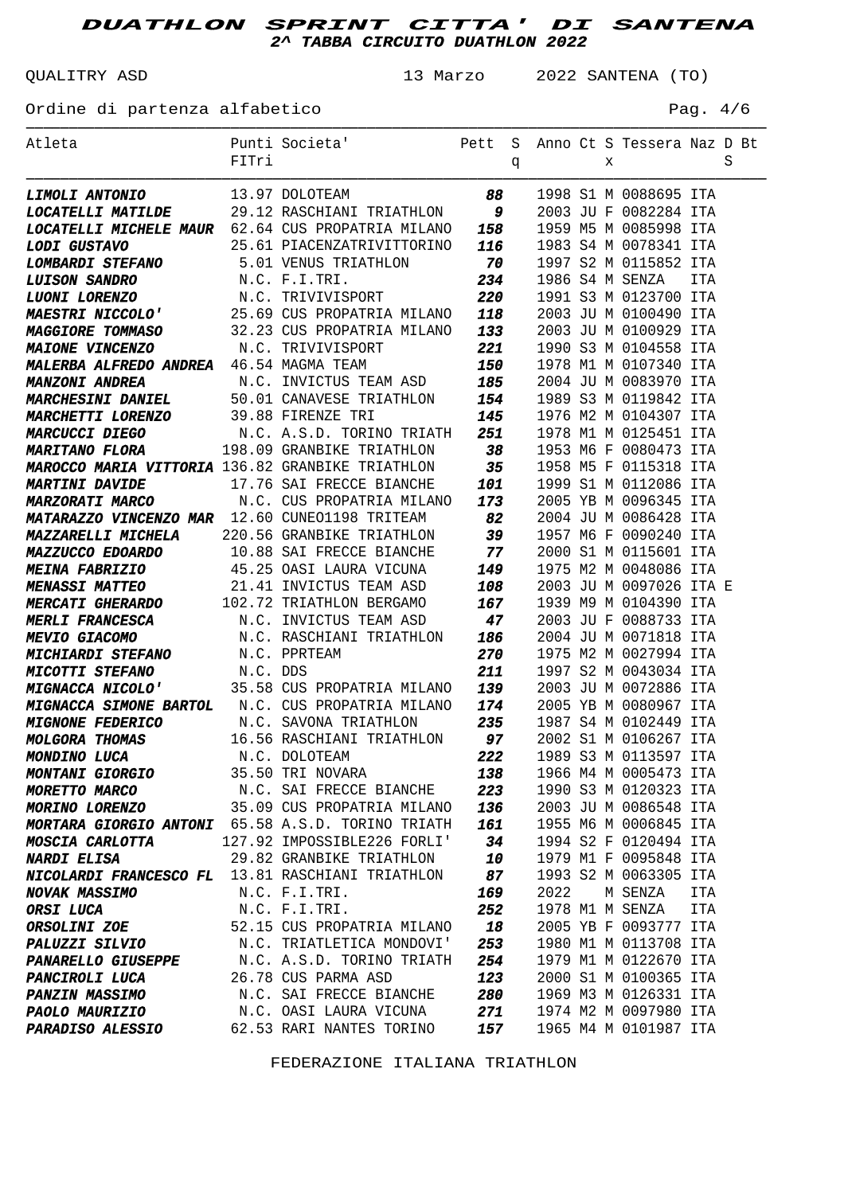QUALITRY ASD 13 Marzo 2022 SANTENA (TO)

Ordine di partenza alfabetico Pag. 4/6

| Atleta                                                                                                           |          | Punti Societa' Pett S Anno Ct S Tessera Naz D Bt           |            |   |      |   |                                          |     |   |
|------------------------------------------------------------------------------------------------------------------|----------|------------------------------------------------------------|------------|---|------|---|------------------------------------------|-----|---|
|                                                                                                                  | FITri    |                                                            |            | q |      | X |                                          |     | S |
|                                                                                                                  |          |                                                            |            |   |      |   |                                          |     |   |
| <b>LIMOLI ANTONIO</b> 13.97 DOLOTEAM                                                                             |          |                                                            | 88         |   |      |   | 1998 S1 M 0088695 ITA                    |     |   |
| LOCATELLI MATILDE 29.12 RASCHIANI TRIATHLON                                                                      |          |                                                            | و          |   |      |   | 2003 JU F 0082284 ITA                    |     |   |
| LOCATELLI MICHELE MAUR 62.64 CUS PROPATRIA MILANO 158                                                            |          |                                                            |            |   |      |   | 1959 M5 M 0085998 ITA                    |     |   |
| <b>LODI GUSTAVO</b>                                                                                              |          | 25.61 PIACENZATRIVITTORINO                                 | 116        |   |      |   | 1983 S4 M 0078341 ITA                    |     |   |
| <i><b>LOMBARDI STEFANO</b></i>                                                                                   |          | 5.01 VENUS TRIATHLON                                       | 70         |   |      |   | 1997 S2 M 0115852 ITA                    |     |   |
| <b>LUISON SANDRO</b>                                                                                             |          | N.C. F.I.TRI.                                              | 234        |   |      |   | 1986 S4 M SENZA                          | ITA |   |
| <b>LUONI LORENZO</b>                                                                                             |          | N.C. TRIVIVISPORT                                          | 220        |   |      |   | 1991 S3 M 0123700 ITA                    |     |   |
| <b>MAESTRI NICCOLO'</b>                                                                                          |          | N.C. IRIVIVISPORI<br>25.69 CUS PROPATRIA MILANO            | 118        |   |      |   | 2003 JU M 0100490 ITA                    |     |   |
| <b>MAGGIORE TOMMASO</b>                                                                                          |          | 32.23 CUS PROPATRIA MILANO                                 | 133        |   |      |   | 2003 JU M 0100929 ITA                    |     |   |
| <b>MAIONE VINCENZO</b>                                                                                           |          | N.C. TRIVIVISPORT                                          | 221        |   |      |   | 1990 S3 M 0104558 ITA                    |     |   |
| <b>MALERBA ALFREDO ANDREA</b> 46.54 MAGMA TEAM                                                                   |          |                                                            | 150        |   |      |   | 1978 M1 M 0107340 ITA                    |     |   |
| <b>MANZONI ANDREA</b>                                                                                            |          | N.C. INVICTUS TEAM ASD                                     | 185        |   |      |   | 2004 JU M 0083970 ITA                    |     |   |
| <b>MARCHESINI DANIEL</b>                                                                                         |          | 50.01 CANAVESE TRIATHLON                                   | 154        |   |      |   | 1989 S3 M 0119842 ITA                    |     |   |
| <b>MARCHETTI LORENZO</b>                                                                                         |          | 39.88 FIRENZE TRI                                          | 145        |   |      |   | 1976 M2 M 0104307 ITA                    |     |   |
| <b>MARCUCCI DIEGO</b>                                                                                            |          | N.C. A.S.D. TORINO TRIATH                                  | 251        |   |      |   | 1978 M1 M 0125451 ITA                    |     |   |
| <b>MARITANO FLORA</b>                                                                                            |          | 198.09 GRANBIKE TRIATHLON                                  | 38         |   |      |   | 1953 M6 F 0080473 ITA                    |     |   |
| <b>MAROCCO MARIA VITTORIA</b> 136.82 GRANBIKE TRIATHLON 35<br><b>MARTINI DAVIDE</b> 17.76 SAI FRECCE BIANCHE 101 |          |                                                            |            |   |      |   | 1958 M5 F 0115318 ITA                    |     |   |
|                                                                                                                  |          |                                                            |            |   |      |   | 1999 S1 M 0112086 ITA                    |     |   |
| <b>MARZORATI MARCO</b> N.C. CUS PROPATRIA MILANO                                                                 |          |                                                            | 173        |   |      |   | 2005 YB M 0096345 ITA                    |     |   |
| MATARAZZO VINCENZO MAR 12.60 CUNEO1198 TRITEAM                                                                   |          |                                                            | 82         |   |      |   | 2004 JU M 0086428 ITA                    |     |   |
| <b>MAZZARELLI MICHELA</b>                                                                                        |          | 220.56 GRANBIKE TRIATHLON                                  | 39         |   |      |   | 1957 M6 F 0090240 ITA                    |     |   |
| <b>MAZZUCCO EDOARDO</b>                                                                                          |          | 10.88 SAI FRECCE BIANCHE 77<br>45.25 OASI LAURA VICUNA 149 |            |   |      |   | 2000 S1 M 0115601 ITA                    |     |   |
| <b>MEINA FABRIZIO</b>                                                                                            |          |                                                            |            |   |      |   | 1975 M2 M 0048086 ITA                    |     |   |
| <b>MENASSI MATTEO</b>                                                                                            |          | 21.41 INVICTUS TEAM ASD                                    | 108        |   |      |   | 2003 JU M 0097026 ITA E                  |     |   |
| <b>MERCATI GHERARDO</b>                                                                                          |          | 102.72 TRIATHLON BERGAMO                                   | 167        |   |      |   | 1939 M9 M 0104390 ITA                    |     |   |
| <b>MERLI FRANCESCA</b>                                                                                           |          | N.C. INVICTUS TEAM ASD                                     | 47         |   |      |   | 2003 JU F 0088733 ITA                    |     |   |
| <b>MEVIO GIACOMO</b>                                                                                             |          | N.C. RASCHIANI TRIATHLON                                   | 186        |   |      |   | 2004 JU M 0071818 ITA                    |     |   |
| <b>MICHIARDI STEFANO</b>                                                                                         |          | N.C. PPRTEAM                                               | 270        |   |      |   | 1975 M2 M 0027994 ITA                    |     |   |
| <b>MICOTTI STEFANO</b>                                                                                           | N.C. DDS |                                                            | 211        |   |      |   | 1997 S2 M 0043034 ITA                    |     |   |
| <b>MIGNACCA NICOLO'</b> 35.58 CUS PROPATRIA MILANO                                                               |          |                                                            | 139        |   |      |   | 2003 JU M 0072886 ITA                    |     |   |
| MIGNACCA SIMONE BARTOL N.C. CUS PROPATRIA MILANO                                                                 |          |                                                            | 174<br>235 |   |      |   | 2005 YB M 0080967 ITA                    |     |   |
| <b>MIGNONE FEDERICO</b>                                                                                          |          | N.C. SAVONA TRIATHLON                                      |            |   |      |   | 1987 S4 M 0102449 ITA                    |     |   |
| <b>MOLGORA THOMAS</b>                                                                                            |          | 16.56 RASCHIANI TRIATHLON 97                               |            |   |      |   | 2002 S1 M 0106267 ITA                    |     |   |
| <b>MONDINO LUCA</b>                                                                                              |          | N.C. DOLOTEAM                                              | 222        |   |      |   | 1989 S3 M 0113597 ITA                    |     |   |
| <b>MONTANI GIORGIO</b>                                                                                           |          | 35.50 TRI NOVARA                                           | 138        |   |      |   | 1966 M4 M 0005473 ITA                    |     |   |
| <b>MORETTO MARCO</b>                                                                                             |          | N.C. SAI FRECCE BIANCHE                                    | 223        |   |      |   | 1990 S3 M 0120323 ITA                    |     |   |
| <b>MORINO LORENZO</b>                                                                                            |          | 35.09 CUS PROPATRIA MILANO                                 | 136        |   |      |   | 2003 JU M 0086548 ITA                    |     |   |
| MORTARA GIORGIO ANTONI 65.58 A.S.D. TORINO TRIATH                                                                |          |                                                            | 161        |   |      |   | 1955 M6 M 0006845 ITA                    |     |   |
| <b>MOSCIA CARLOTTA</b>                                                                                           |          | 127.92 IMPOSSIBLE226 FORLI'                                | 34         |   |      |   | 1994 S2 F 0120494 ITA                    |     |   |
| <b>NARDI ELISA</b>                                                                                               |          | 29.82 GRANBIKE TRIATHLON                                   | 10         |   |      |   | 1979 M1 F 0095848 ITA                    |     |   |
| <b>NICOLARDI FRANCESCO FL</b> 13.81 RASCHIANI TRIATHLON                                                          |          |                                                            | 87         |   |      |   | 1993 S2 M 0063305 ITA                    |     |   |
| <b>NOVAK MASSIMO</b><br><b>ORSI LUCA</b>                                                                         |          | N.C. F.I.TRI.                                              | 169        |   | 2022 |   | M SENZA                                  | ITA |   |
| <b>ORSOLINI ZOE</b>                                                                                              |          | N.C. F.I.TRI.<br>52.15 CUS PROPATRIA MILANO                | 252<br>18  |   |      |   | 1978 M1 M SENZA<br>2005 YB F 0093777 ITA | ITA |   |
| <b>PALUZZI SILVIO</b>                                                                                            |          | N.C. TRIATLETICA MONDOVI'                                  |            |   |      |   | 1980 M1 M 0113708 ITA                    |     |   |
| <b>PANARELLO GIUSEPPE</b>                                                                                        |          | N.C. A.S.D. TORINO TRIATH                                  | 253<br>254 |   |      |   | 1979 M1 M 0122670 ITA                    |     |   |
| PANCIROLI LUCA                                                                                                   |          | 26.78 CUS PARMA ASD                                        | 123        |   |      |   | 2000 S1 M 0100365 ITA                    |     |   |
| <b>PANZIN MASSIMO</b>                                                                                            |          | N.C. SAI FRECCE BIANCHE                                    | 280        |   |      |   | 1969 M3 M 0126331 ITA                    |     |   |
| <b>PAOLO MAURIZIO</b>                                                                                            |          | N.C. OASI LAURA VICUNA                                     | 271        |   |      |   | 1974 M2 M 0097980 ITA                    |     |   |
| <b>PARADISO ALESSIO</b>                                                                                          |          | 62.53 RARI NANTES TORINO                                   | 157        |   |      |   | 1965 M4 M 0101987 ITA                    |     |   |
|                                                                                                                  |          |                                                            |            |   |      |   |                                          |     |   |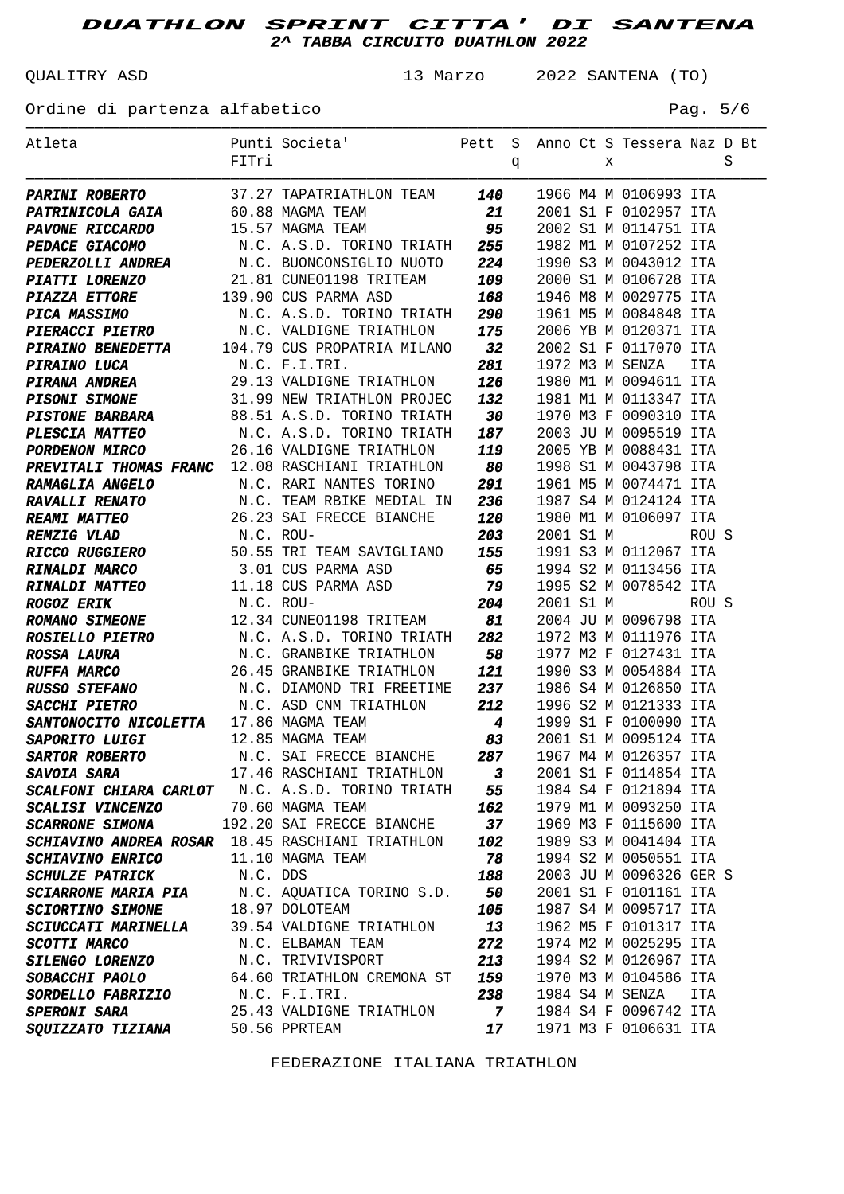QUALITRY ASD 13 Marzo 2022 SANTENA (TO)

Ordine di partenza alfabetico e e e e e e e e e e e e e Pag. 5/6

| Atleta                                                                                                                        |          | Punti Societa' Nett S Anno Ct S Tessera Naz D Bt  |                                        |   |           |   |                         |       |   |
|-------------------------------------------------------------------------------------------------------------------------------|----------|---------------------------------------------------|----------------------------------------|---|-----------|---|-------------------------|-------|---|
|                                                                                                                               | FITri    |                                                   |                                        | q |           | X |                         |       | S |
|                                                                                                                               |          |                                                   |                                        |   |           |   |                         |       |   |
| <b>PARINI ROBERTO</b>                                                                                                         |          | 37.27 TAPATRIATHLON TEAM 140                      |                                        |   |           |   | 1966 M4 M 0106993 ITA   |       |   |
| <b>PATRINICOLA GAIA</b>                                                                                                       |          | 60.88 MAGMA TEAM                                  | 21                                     |   |           |   | 2001 S1 F 0102957 ITA   |       |   |
| <b>PAVONE RICCARDO</b>                                                                                                        |          | 15.57 MAGMA TEAM                                  | 95                                     |   |           |   | 2002 S1 M 0114751 ITA   |       |   |
| <b>PEDACE GIACOMO</b>                                                                                                         |          | N.C. A.S.D. TORINO TRIATH 255                     |                                        |   |           |   | 1982 M1 M 0107252 ITA   |       |   |
| PEDERZOLLI ANDREA                                                                                                             |          | N.C. BUONCONSIGLIO NUOTO                          | 224                                    |   |           |   | 1990 S3 M 0043012 ITA   |       |   |
| <b>PIATTI LORENZO</b>                                                                                                         |          | 21.81 CUNEO1198 TRITEAM                           | 109                                    |   |           |   | 2000 S1 M 0106728 ITA   |       |   |
| <b>PIAZZA ETTORE</b>                                                                                                          |          | 139.90 CUS PARMA ASD                              | 168                                    |   |           |   | 1946 M8 M 0029775 ITA   |       |   |
| <b>PICA MASSIMO</b>                                                                                                           |          | N.C. A.S.D. TORINO TRIATH                         | 290                                    |   |           |   | 1961 M5 M 0084848 ITA   |       |   |
| <b>PIERACCI PIETRO</b>                                                                                                        |          | N.C. VALDIGNE TRIATHLON                           | 175                                    |   |           |   | 2006 YB M 0120371 ITA   |       |   |
| PIRAINO BENEDETTA 104.79 CUS PROPATRIA MILANO 32                                                                              |          |                                                   |                                        |   |           |   | 2002 S1 F 0117070 ITA   |       |   |
| <b>PIRAINO LUCA</b>                                                                                                           |          | N.C. F.I.TRI. 281<br>29.13 VALDIGNE TRIATHLON 126 |                                        |   |           |   | 1972 M3 M SENZA         | ITA   |   |
| PIRANA ANDREA                                                                                                                 |          |                                                   |                                        |   |           |   | 1980 M1 M 0094611 ITA   |       |   |
| <b>PISONI SIMONE</b>                                                                                                          |          | 31.99 NEW TRIATHLON PROJEC                        | 132                                    |   |           |   | 1981 M1 M 0113347 ITA   |       |   |
| <b>PISTONE BARBARA</b> 88.51 A.S.D. TORINO TRIATH                                                                             |          |                                                   | 30                                     |   |           |   | 1970 M3 F 0090310 ITA   |       |   |
| <b>PLESCIA MATTEO</b>                                                                                                         |          | N.C. A.S.D. TORINO TRIATH                         | 187                                    |   |           |   | 2003 JU M 0095519 ITA   |       |   |
| <b>PORDENON MIRCO</b>                                                                                                         |          | 26.16 VALDIGNE TRIATHLON                          | 119                                    |   |           |   | 2005 YB M 0088431 ITA   |       |   |
| <b>PREVITALI THOMAS FRANC</b> 12.08 RASCHIANI TRIATHLON 80                                                                    |          |                                                   |                                        |   |           |   | 1998 S1 M 0043798 ITA   |       |   |
| <b>RAMAGLIA ANGELO</b>                                                                                                        |          | N.C. RARI NANTES TORINO                           | 291                                    |   |           |   | 1961 M5 M 0074471 ITA   |       |   |
| <b>RAVALLI RENATO</b>                                                                                                         |          | N.C. TEAM RBIKE MEDIAL IN                         | 236                                    |   |           |   | 1987 S4 M 0124124 ITA   |       |   |
|                                                                                                                               |          |                                                   | 120                                    |   |           |   | 1980 M1 M 0106097 ITA   |       |   |
| <b>REAMI MATTEO</b> 26.23 SAI FRECCE BIANCHE<br><b>REMZIG VLAD</b> N.C. ROU-                                                  |          |                                                   | 203                                    |   | 2001 S1 M |   |                         | ROU S |   |
| <b>RICCO RUGGIERO</b>                                                                                                         |          | 50.55 TRI TEAM SAVIGLIANO 155                     |                                        |   |           |   | 1991 S3 M 0112067 ITA   |       |   |
| <b>RINALDI MARCO</b>                                                                                                          |          |                                                   |                                        |   |           |   | 1994 S2 M 0113456 ITA   |       |   |
| <b>RINALDI MARCO</b> 3.01 CUS PARMA ASD 65<br><b>RINALDI MATTEO</b> 11.18 CUS PARMA ASD 79<br><b>ROGOZ ERIK</b> N.C. ROU- 204 |          |                                                   |                                        |   |           |   | 1995 S2 M 0078542 ITA   |       |   |
| ROGOZ ERIK M.C. ROU-<br><b>ROMANO SIMEONE</b> 12.34 CUNEO1198 TRITEAM 81                                                      |          |                                                   |                                        |   | 2001 S1 M |   |                         | ROU S |   |
|                                                                                                                               |          |                                                   |                                        |   |           |   | 2004 JU M 0096798 ITA   |       |   |
| ROSIELLO PIETRO N.C. A.S.D. TORINO TRIATH                                                                                     |          |                                                   | 282                                    |   |           |   | 1972 M3 M 0111976 ITA   |       |   |
| <b>ROSSA LAURA</b>                                                                                                            |          | N.C. GRANBIKE TRIATHLON 58                        |                                        |   |           |   | 1977 M2 F 0127431 ITA   |       |   |
| <b>RUFFA MARCO</b>                                                                                                            |          | 26.45 GRANBIKE TRIATHLON                          | 121                                    |   |           |   | 1990 S3 M 0054884 ITA   |       |   |
| RUSSO STEFANO M.C. DIAMOND TRI FREETIME 237                                                                                   |          |                                                   |                                        |   |           |   | 1986 S4 M 0126850 ITA   |       |   |
| <b>SACCHI PIETRO</b>                                                                                                          |          | N.C. ASD CNM TRIATHLON 212                        |                                        |   |           |   | 1996 S2 M 0121333 ITA   |       |   |
| SANTONOCITO NICOLETTA 17.86 MAGMA TEAM                                                                                        |          |                                                   | $\begin{array}{c} 4 \\ 83 \end{array}$ |   |           |   | 1999 S1 F 0100090 ITA   |       |   |
| <b>SAPORITO LUIGI</b>                                                                                                         |          | 12.85 MAGMA TEAM                                  |                                        |   |           |   | 2001 S1 M 0095124 ITA   |       |   |
| <b>SARTOR ROBERTO</b>                                                                                                         |          | N.C. SAI FRECCE BIANCHE 287 1967 M4 M 0126357 ITA |                                        |   |           |   |                         |       |   |
| <b>SAVOIA SARA</b>                                                                                                            |          | 17.46 RASCHIANI TRIATHLON                         | 3                                      |   |           |   | 2001 S1 F 0114854 ITA   |       |   |
| SCALFONI CHIARA CARLOT N.C. A.S.D. TORINO TRIATH                                                                              |          |                                                   | 55                                     |   |           |   | 1984 S4 F 0121894 ITA   |       |   |
| <b>SCALISI VINCENZO</b>                                                                                                       |          | 70.60 MAGMA TEAM                                  | 162                                    |   |           |   | 1979 M1 M 0093250 ITA   |       |   |
| <b>SCARRONE SIMONA</b>                                                                                                        |          | 192.20 SAI FRECCE BIANCHE                         | 37                                     |   |           |   | 1969 M3 F 0115600 ITA   |       |   |
| <b>SCHIAVINO ANDREA ROSAR</b> 18.45 RASCHIANI TRIATHLON                                                                       |          |                                                   | 102                                    |   |           |   | 1989 S3 M 0041404 ITA   |       |   |
| <b>SCHIAVINO ENRICO</b>                                                                                                       |          | 11.10 MAGMA TEAM                                  | 78                                     |   |           |   | 1994 S2 M 0050551 ITA   |       |   |
| <b>SCHULZE PATRICK</b>                                                                                                        | N.C. DDS |                                                   | 188                                    |   |           |   | 2003 JU M 0096326 GER S |       |   |
| <b>SCIARRONE MARIA PIA</b>                                                                                                    |          | N.C. AQUATICA TORINO S.D.                         | 50                                     |   |           |   | 2001 S1 F 0101161 ITA   |       |   |
| <b>SCIORTINO SIMONE</b>                                                                                                       |          | 18.97 DOLOTEAM                                    | 105                                    |   |           |   | 1987 S4 M 0095717 ITA   |       |   |
| <b>SCIUCCATI MARINELLA</b>                                                                                                    |          | 39.54 VALDIGNE TRIATHLON                          | 13                                     |   |           |   | 1962 M5 F 0101317 ITA   |       |   |
| <b>SCOTTI MARCO</b>                                                                                                           |          | N.C. ELBAMAN TEAM                                 | 272                                    |   |           |   | 1974 M2 M 0025295 ITA   |       |   |
| <b>SILENGO LORENZO</b>                                                                                                        |          | N.C. TRIVIVISPORT                                 | 213                                    |   |           |   | 1994 S2 M 0126967 ITA   |       |   |
| <b>SOBACCHI PAOLO</b>                                                                                                         |          | 64.60 TRIATHLON CREMONA ST                        | 159                                    |   |           |   | 1970 M3 M 0104586 ITA   |       |   |
| <b>SORDELLO FABRIZIO</b>                                                                                                      |          | N.C. F.I.TRI.                                     | 238                                    |   |           |   | 1984 S4 M SENZA         | ITA   |   |
| <b>SPERONI SARA</b>                                                                                                           |          | 25.43 VALDIGNE TRIATHLON                          | 7                                      |   |           |   | 1984 S4 F 0096742 ITA   |       |   |
| <b>SQUIZZATO TIZIANA</b>                                                                                                      |          | 50.56 PPRTEAM                                     | 17                                     |   |           |   | 1971 M3 F 0106631 ITA   |       |   |